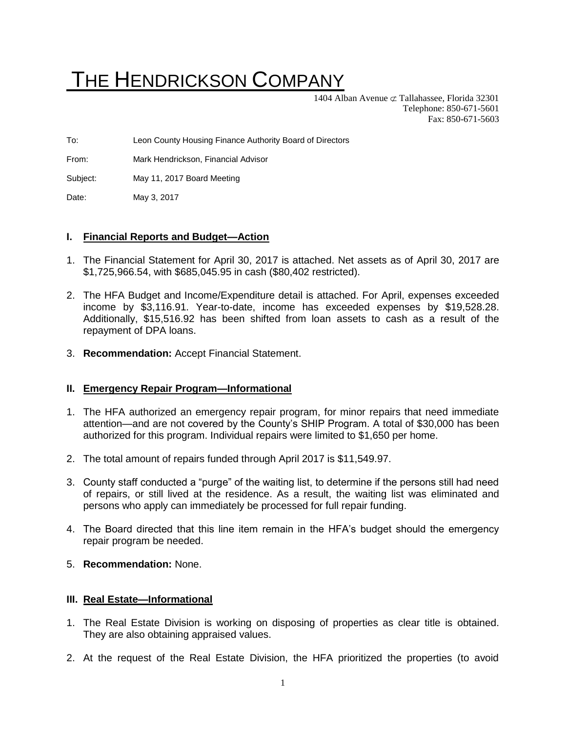# THE HENDRICKSON COMPANY

1404 Alban Avenue  $\subset \mathcal{I}$  Tallahassee, Florida 32301 Telephone: 850-671-5601 Fax: 850-671-5603

To: Leon County Housing Finance Authority Board of Directors

From: Mark Hendrickson, Financial Advisor

Subject: May 11, 2017 Board Meeting

Date: May 3, 2017

## **I. Financial Reports and Budget—Action**

- 1. The Financial Statement for April 30, 2017 is attached. Net assets as of April 30, 2017 are \$1,725,966.54, with \$685,045.95 in cash (\$80,402 restricted).
- 2. The HFA Budget and Income/Expenditure detail is attached. For April, expenses exceeded income by \$3,116.91. Year-to-date, income has exceeded expenses by \$19,528.28. Additionally, \$15,516.92 has been shifted from loan assets to cash as a result of the repayment of DPA loans.
- 3. **Recommendation:** Accept Financial Statement.

# **II. Emergency Repair Program—Informational**

- 1. The HFA authorized an emergency repair program, for minor repairs that need immediate attention—and are not covered by the County's SHIP Program. A total of \$30,000 has been authorized for this program. Individual repairs were limited to \$1,650 per home.
- 2. The total amount of repairs funded through April 2017 is \$11,549.97.
- 3. County staff conducted a "purge" of the waiting list, to determine if the persons still had need of repairs, or still lived at the residence. As a result, the waiting list was eliminated and persons who apply can immediately be processed for full repair funding.
- 4. The Board directed that this line item remain in the HFA's budget should the emergency repair program be needed.
- 5. **Recommendation:** None.

## **III. Real Estate—Informational**

- 1. The Real Estate Division is working on disposing of properties as clear title is obtained. They are also obtaining appraised values.
- 2. At the request of the Real Estate Division, the HFA prioritized the properties (to avoid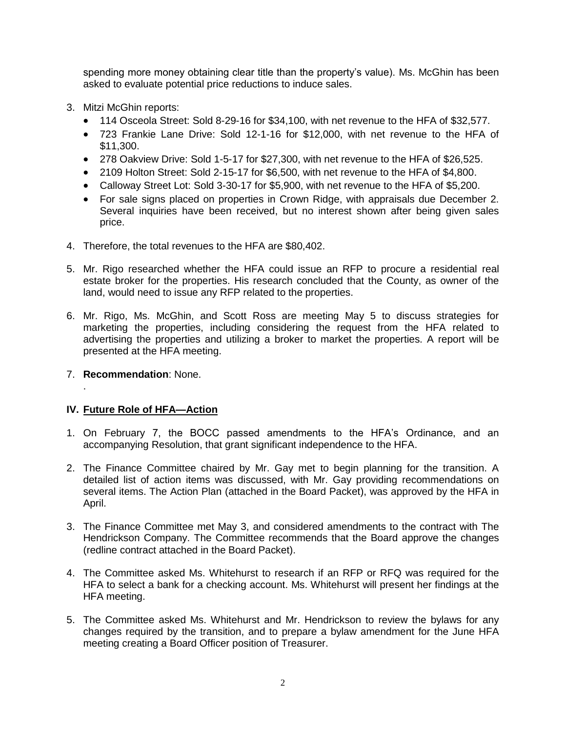spending more money obtaining clear title than the property's value). Ms. McGhin has been asked to evaluate potential price reductions to induce sales.

- 3. Mitzi McGhin reports:
	- 114 Osceola Street: Sold 8-29-16 for \$34,100, with net revenue to the HFA of \$32,577.
	- 723 Frankie Lane Drive: Sold 12-1-16 for \$12,000, with net revenue to the HFA of \$11,300.
	- 278 Oakview Drive: Sold 1-5-17 for \$27,300, with net revenue to the HFA of \$26,525.
	- 2109 Holton Street: Sold 2-15-17 for \$6,500, with net revenue to the HFA of \$4,800.
	- Calloway Street Lot: Sold 3-30-17 for \$5,900, with net revenue to the HFA of \$5,200.
	- For sale signs placed on properties in Crown Ridge, with appraisals due December 2. Several inquiries have been received, but no interest shown after being given sales price.
- 4. Therefore, the total revenues to the HFA are \$80,402.
- 5. Mr. Rigo researched whether the HFA could issue an RFP to procure a residential real estate broker for the properties. His research concluded that the County, as owner of the land, would need to issue any RFP related to the properties.
- 6. Mr. Rigo, Ms. McGhin, and Scott Ross are meeting May 5 to discuss strategies for marketing the properties, including considering the request from the HFA related to advertising the properties and utilizing a broker to market the properties. A report will be presented at the HFA meeting.
- 7. **Recommendation**: None.

.

# **IV. Future Role of HFA—Action**

- 1. On February 7, the BOCC passed amendments to the HFA's Ordinance, and an accompanying Resolution, that grant significant independence to the HFA.
- 2. The Finance Committee chaired by Mr. Gay met to begin planning for the transition. A detailed list of action items was discussed, with Mr. Gay providing recommendations on several items. The Action Plan (attached in the Board Packet), was approved by the HFA in April.
- 3. The Finance Committee met May 3, and considered amendments to the contract with The Hendrickson Company. The Committee recommends that the Board approve the changes (redline contract attached in the Board Packet).
- 4. The Committee asked Ms. Whitehurst to research if an RFP or RFQ was required for the HFA to select a bank for a checking account. Ms. Whitehurst will present her findings at the HFA meeting.
- 5. The Committee asked Ms. Whitehurst and Mr. Hendrickson to review the bylaws for any changes required by the transition, and to prepare a bylaw amendment for the June HFA meeting creating a Board Officer position of Treasurer.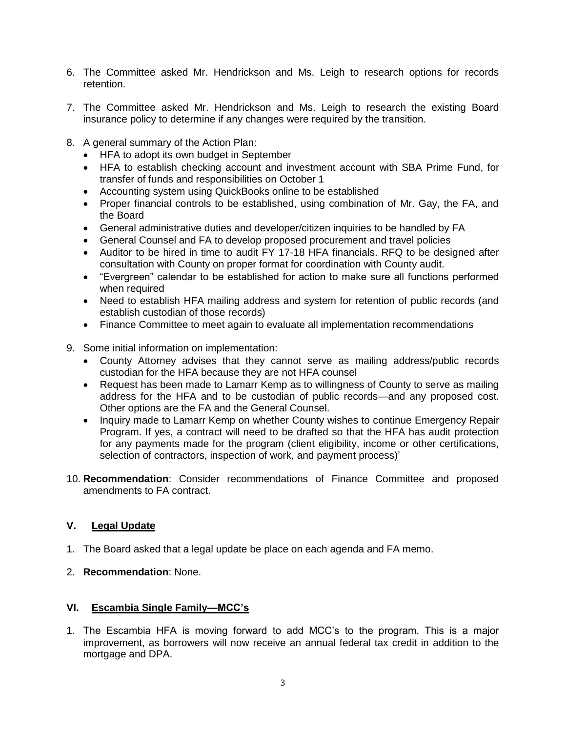- 6. The Committee asked Mr. Hendrickson and Ms. Leigh to research options for records retention.
- 7. The Committee asked Mr. Hendrickson and Ms. Leigh to research the existing Board insurance policy to determine if any changes were required by the transition.
- 8. A general summary of the Action Plan:
	- HFA to adopt its own budget in September
	- HFA to establish checking account and investment account with SBA Prime Fund, for transfer of funds and responsibilities on October 1
	- Accounting system using QuickBooks online to be established
	- Proper financial controls to be established, using combination of Mr. Gay, the FA, and the Board
	- General administrative duties and developer/citizen inquiries to be handled by FA
	- General Counsel and FA to develop proposed procurement and travel policies
	- Auditor to be hired in time to audit FY 17-18 HFA financials. RFQ to be designed after consultation with County on proper format for coordination with County audit.
	- "Evergreen" calendar to be established for action to make sure all functions performed when required
	- Need to establish HFA mailing address and system for retention of public records (and establish custodian of those records)
	- Finance Committee to meet again to evaluate all implementation recommendations
- 9. Some initial information on implementation:
	- County Attorney advises that they cannot serve as mailing address/public records custodian for the HFA because they are not HFA counsel
	- Request has been made to Lamarr Kemp as to willingness of County to serve as mailing address for the HFA and to be custodian of public records—and any proposed cost. Other options are the FA and the General Counsel.
	- Inquiry made to Lamarr Kemp on whether County wishes to continue Emergency Repair Program. If yes, a contract will need to be drafted so that the HFA has audit protection for any payments made for the program (client eligibility, income or other certifications, selection of contractors, inspection of work, and payment process)'
- 10. **Recommendation**: Consider recommendations of Finance Committee and proposed amendments to FA contract.

# **V. Legal Update**

- 1. The Board asked that a legal update be place on each agenda and FA memo.
- 2. **Recommendation**: None.

# **VI. Escambia Single Family—MCC's**

1. The Escambia HFA is moving forward to add MCC's to the program. This is a major improvement, as borrowers will now receive an annual federal tax credit in addition to the mortgage and DPA.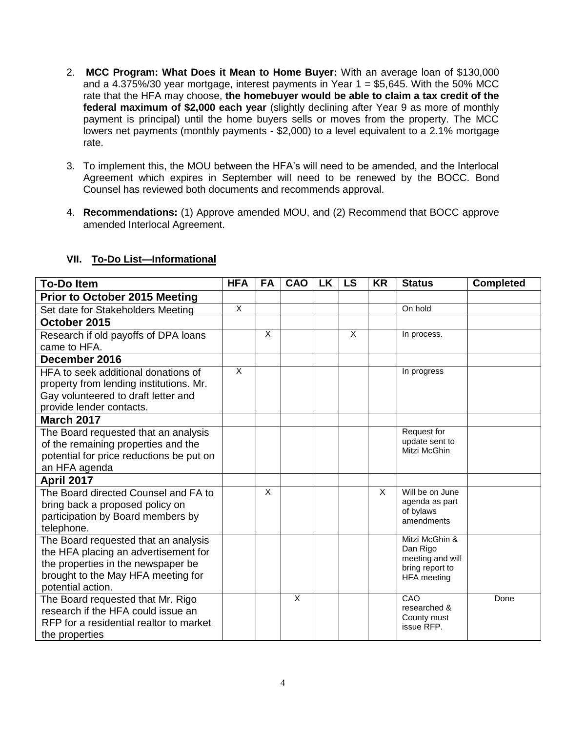- 2. **MCC Program: What Does it Mean to Home Buyer:** With an average loan of \$130,000 and a 4.375%/30 year mortgage, interest payments in Year  $1 = $5,645$ . With the 50% MCC rate that the HFA may choose, **the homebuyer would be able to claim a tax credit of the federal maximum of \$2,000 each year** (slightly declining after Year 9 as more of monthly payment is principal) until the home buyers sells or moves from the property. The MCC lowers net payments (monthly payments - \$2,000) to a level equivalent to a 2.1% mortgage rate.
- 3. To implement this, the MOU between the HFA's will need to be amended, and the Interlocal Agreement which expires in September will need to be renewed by the BOCC. Bond Counsel has reviewed both documents and recommends approval.
- 4. **Recommendations:** (1) Approve amended MOU, and (2) Recommend that BOCC approve amended Interlocal Agreement.

| <b>To-Do Item</b>                                                            | <b>HFA</b>   | <b>FA</b> | CAO      | <b>LK</b> | <b>LS</b> | <b>KR</b> | <b>Status</b>                         | <b>Completed</b> |
|------------------------------------------------------------------------------|--------------|-----------|----------|-----------|-----------|-----------|---------------------------------------|------------------|
| <b>Prior to October 2015 Meeting</b>                                         |              |           |          |           |           |           |                                       |                  |
| Set date for Stakeholders Meeting                                            | $\mathsf{X}$ |           |          |           |           |           | On hold                               |                  |
| October 2015                                                                 |              |           |          |           |           |           |                                       |                  |
| Research if old payoffs of DPA loans                                         |              | X         |          |           | X         |           | In process.                           |                  |
| came to HFA.                                                                 |              |           |          |           |           |           |                                       |                  |
| December 2016                                                                |              |           |          |           |           |           |                                       |                  |
| HFA to seek additional donations of                                          | $\times$     |           |          |           |           |           | In progress                           |                  |
| property from lending institutions. Mr.                                      |              |           |          |           |           |           |                                       |                  |
| Gay volunteered to draft letter and                                          |              |           |          |           |           |           |                                       |                  |
| provide lender contacts.                                                     |              |           |          |           |           |           |                                       |                  |
| <b>March 2017</b>                                                            |              |           |          |           |           |           |                                       |                  |
| The Board requested that an analysis                                         |              |           |          |           |           |           | Request for<br>update sent to         |                  |
| of the remaining properties and the                                          |              |           |          |           |           |           | Mitzi McGhin                          |                  |
| potential for price reductions be put on                                     |              |           |          |           |           |           |                                       |                  |
| an HFA agenda                                                                |              |           |          |           |           |           |                                       |                  |
| <b>April 2017</b>                                                            |              |           |          |           |           |           |                                       |                  |
| The Board directed Counsel and FA to                                         |              | X         |          |           |           | X         | Will be on June<br>agenda as part     |                  |
| bring back a proposed policy on                                              |              |           |          |           |           |           | of bylaws                             |                  |
| participation by Board members by                                            |              |           |          |           |           |           | amendments                            |                  |
| telephone.                                                                   |              |           |          |           |           |           | Mitzi McGhin &                        |                  |
| The Board requested that an analysis<br>the HFA placing an advertisement for |              |           |          |           |           |           | Dan Rigo                              |                  |
| the properties in the newspaper be                                           |              |           |          |           |           |           | meeting and will                      |                  |
| brought to the May HFA meeting for                                           |              |           |          |           |           |           | bring report to<br><b>HFA</b> meeting |                  |
| potential action.                                                            |              |           |          |           |           |           |                                       |                  |
| The Board requested that Mr. Rigo                                            |              |           | $\times$ |           |           |           | CAO                                   | Done             |
| research if the HFA could issue an                                           |              |           |          |           |           |           | researched &                          |                  |
| RFP for a residential realtor to market                                      |              |           |          |           |           |           | County must<br>issue RFP.             |                  |
| the properties                                                               |              |           |          |           |           |           |                                       |                  |

# **VII. To-Do List—Informational**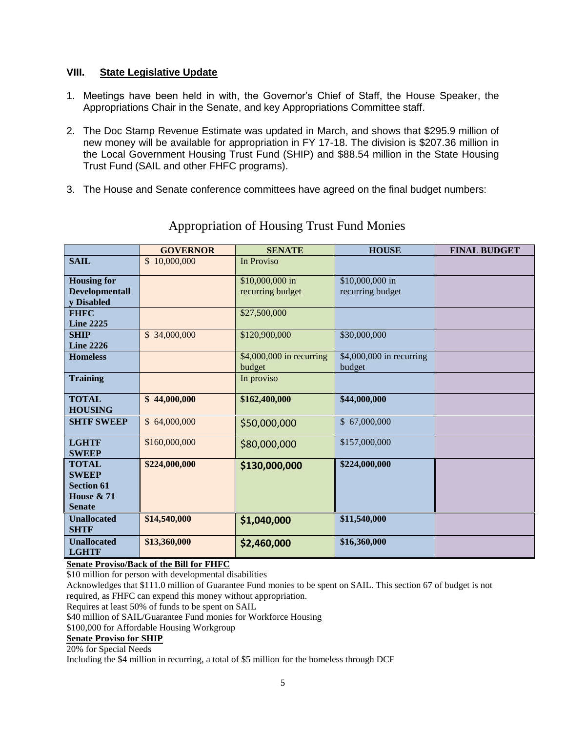## **VIII. State Legislative Update**

- 1. Meetings have been held in with, the Governor's Chief of Staff, the House Speaker, the Appropriations Chair in the Senate, and key Appropriations Committee staff.
- 2. The Doc Stamp Revenue Estimate was updated in March, and shows that \$295.9 million of new money will be available for appropriation in FY 17-18. The division is \$207.36 million in the Local Government Housing Trust Fund (SHIP) and \$88.54 million in the State Housing Trust Fund (SAIL and other FHFC programs).
- 3. The House and Senate conference committees have agreed on the final budget numbers:

|                                | <b>GOVERNOR</b> | <b>SENATE</b>            | <b>HOUSE</b>             | <b>FINAL BUDGET</b> |
|--------------------------------|-----------------|--------------------------|--------------------------|---------------------|
| <b>SAIL</b>                    | \$10,000,000    | In Proviso               |                          |                     |
| <b>Housing for</b>             |                 | \$10,000,000 in          | \$10,000,000 in          |                     |
| <b>Developmentall</b>          |                 | recurring budget         | recurring budget         |                     |
| y Disabled                     |                 |                          |                          |                     |
| <b>FHFC</b>                    |                 | \$27,500,000             |                          |                     |
| <b>Line 2225</b>               |                 |                          |                          |                     |
| <b>SHIP</b>                    | \$34,000,000    | \$120,900,000            | \$30,000,000             |                     |
| <b>Line 2226</b>               |                 |                          |                          |                     |
| <b>Homeless</b>                |                 | \$4,000,000 in recurring | \$4,000,000 in recurring |                     |
|                                |                 | budget                   | budget                   |                     |
| <b>Training</b>                |                 | In proviso               |                          |                     |
| <b>TOTAL</b><br><b>HOUSING</b> | \$44,000,000    | \$162,400,000            | \$44,000,000             |                     |
| <b>SHTF SWEEP</b>              | \$64,000,000    | \$50,000,000             | \$67,000,000             |                     |
| <b>LGHTF</b><br><b>SWEEP</b>   | \$160,000,000   | \$80,000,000             | \$157,000,000            |                     |
| <b>TOTAL</b>                   | \$224,000,000   | \$130,000,000            | \$224,000,000            |                     |
| <b>SWEEP</b>                   |                 |                          |                          |                     |
| <b>Section 61</b>              |                 |                          |                          |                     |
| House $& 71$                   |                 |                          |                          |                     |
| <b>Senate</b>                  |                 |                          |                          |                     |
| <b>Unallocated</b>             | \$14,540,000    | \$1,040,000              | \$11,540,000             |                     |
| <b>SHTF</b>                    |                 |                          |                          |                     |
| <b>Unallocated</b>             | \$13,360,000    | \$2,460,000              | \$16,360,000             |                     |
| <b>LGHTF</b>                   |                 |                          |                          |                     |

# Appropriation of Housing Trust Fund Monies

**Senate Proviso/Back of the Bill for FHFC**

\$10 million for person with developmental disabilities

Acknowledges that \$111.0 million of Guarantee Fund monies to be spent on SAIL. This section 67 of budget is not required, as FHFC can expend this money without appropriation.

Requires at least 50% of funds to be spent on SAIL

\$40 million of SAIL/Guarantee Fund monies for Workforce Housing

\$100,000 for Affordable Housing Workgroup

#### **Senate Proviso for SHIP**

20% for Special Needs

Including the \$4 million in recurring, a total of \$5 million for the homeless through DCF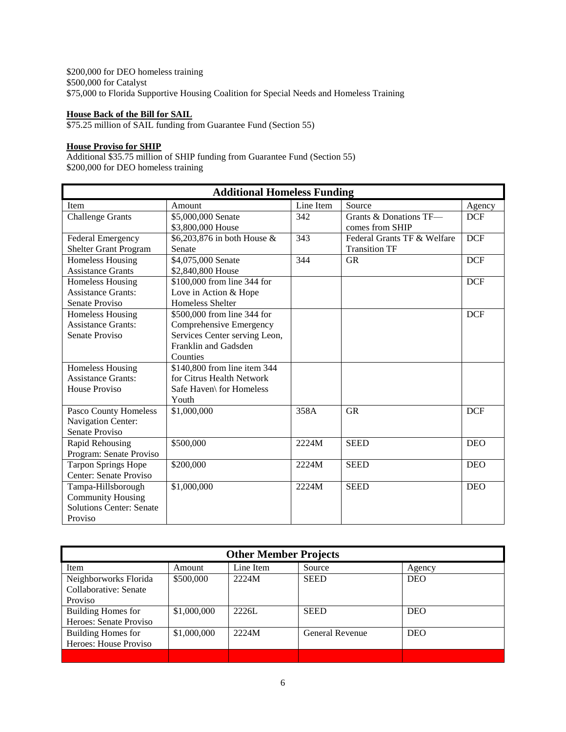\$200,000 for DEO homeless training \$500,000 for Catalyst \$75,000 to Florida Supportive Housing Coalition for Special Needs and Homeless Training

#### **House Back of the Bill for SAIL**

\$75.25 million of SAIL funding from Guarantee Fund (Section 55)

### **House Proviso for SHIP**

Additional \$35.75 million of SHIP funding from Guarantee Fund (Section 55) \$200,000 for DEO homeless training

| <b>Additional Homeless Funding</b> |                               |           |                             |            |  |
|------------------------------------|-------------------------------|-----------|-----------------------------|------------|--|
| Item                               | Amount                        | Line Item | Source                      | Agency     |  |
| <b>Challenge Grants</b>            | \$5,000,000 Senate            | 342       | Grants & Donations TF-      | <b>DCF</b> |  |
|                                    | \$3,800,000 House             |           | comes from SHIP             |            |  |
| <b>Federal Emergency</b>           | \$6,203,876 in both House &   | 343       | Federal Grants TF & Welfare | <b>DCF</b> |  |
| <b>Shelter Grant Program</b>       | Senate                        |           | <b>Transition TF</b>        |            |  |
| <b>Homeless Housing</b>            | \$4,075,000 Senate            | 344       | <b>GR</b>                   | <b>DCF</b> |  |
| <b>Assistance Grants</b>           | \$2,840,800 House             |           |                             |            |  |
| Homeless Housing                   | \$100,000 from line 344 for   |           |                             | <b>DCF</b> |  |
| <b>Assistance Grants:</b>          | Love in Action & Hope         |           |                             |            |  |
| Senate Proviso                     | Homeless Shelter              |           |                             |            |  |
| <b>Homeless Housing</b>            | \$500,000 from line 344 for   |           |                             | <b>DCF</b> |  |
| <b>Assistance Grants:</b>          | Comprehensive Emergency       |           |                             |            |  |
| Senate Proviso                     | Services Center serving Leon, |           |                             |            |  |
|                                    | Franklin and Gadsden          |           |                             |            |  |
|                                    | Counties                      |           |                             |            |  |
| Homeless Housing                   | \$140,800 from line item 344  |           |                             |            |  |
| <b>Assistance Grants:</b>          | for Citrus Health Network     |           |                             |            |  |
| House Proviso                      | Safe Haven\ for Homeless      |           |                             |            |  |
|                                    | Youth                         |           |                             |            |  |
| Pasco County Homeless              | \$1,000,000                   | 358A      | <b>GR</b>                   | <b>DCF</b> |  |
| Navigation Center:                 |                               |           |                             |            |  |
| Senate Proviso                     |                               |           |                             |            |  |
| Rapid Rehousing                    | \$500,000                     | 2224M     | <b>SEED</b>                 | <b>DEO</b> |  |
| Program: Senate Proviso            |                               |           |                             |            |  |
| <b>Tarpon Springs Hope</b>         | \$200,000                     | 2224M     | <b>SEED</b>                 | <b>DEO</b> |  |
| Center: Senate Proviso             |                               |           |                             |            |  |
| Tampa-Hillsborough                 | \$1,000,000                   | 2224M     | <b>SEED</b>                 | <b>DEO</b> |  |
| <b>Community Housing</b>           |                               |           |                             |            |  |
| <b>Solutions Center: Senate</b>    |                               |           |                             |            |  |
| Proviso                            |                               |           |                             |            |  |

| <b>Other Member Projects</b> |             |           |                        |            |  |
|------------------------------|-------------|-----------|------------------------|------------|--|
| Item                         | Amount      | Line Item | Source                 | Agency     |  |
| Neighborworks Florida        | \$500,000   | 2224M     | <b>SEED</b>            | <b>DEO</b> |  |
| Collaborative: Senate        |             |           |                        |            |  |
| <b>Proviso</b>               |             |           |                        |            |  |
| <b>Building Homes for</b>    | \$1,000,000 | 2226L     | <b>SEED</b>            | <b>DEO</b> |  |
| Heroes: Senate Proviso       |             |           |                        |            |  |
| Building Homes for           | \$1,000,000 | 2224M     | <b>General Revenue</b> | <b>DEO</b> |  |
| Heroes: House Proviso        |             |           |                        |            |  |
|                              |             |           |                        |            |  |